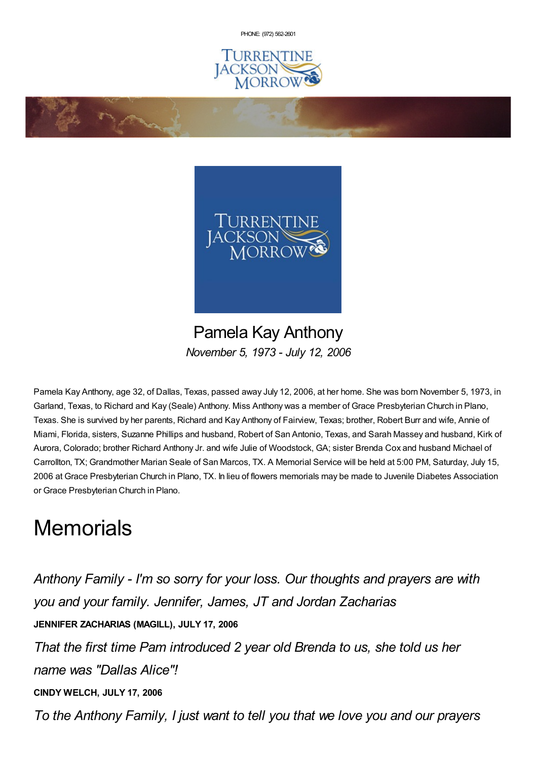PHONE: (972) [562-2601](tel:(972) 562-2601)





Pamela Kay Anthony *November 5, 1973 - July 12, 2006*

Pamela Kay Anthony, age 32, of Dallas, Texas, passed away July 12, 2006, at her home. She was born November 5, 1973, in Garland, Texas, to Richard and Kay (Seale) Anthony. Miss Anthony was a member of Grace Presbyterian Church in Plano, Texas. She is survived by her parents, Richard and Kay Anthony of Fairview, Texas; brother, Robert Burr and wife, Annie of Miami, Florida, sisters, Suzanne Phillips and husband, Robert of San Antonio, Texas, and Sarah Massey and husband, Kirk of Aurora, Colorado; brother Richard Anthony Jr. and wife Julie of Woodstock, GA; sister Brenda Cox and husband Michael of Carrollton, TX; Grandmother Marian Seale of San Marcos, TX. A Memorial Service will be held at 5:00 PM, Saturday, July 15, 2006 at Grace Presbyterian Church in Plano, TX. In lieu of flowers memorials may be made to Juvenile Diabetes Association or Grace Presbyterian Church in Plano.

## **Memorials**

**Contractions** 

*Anthony Family - I'm so sorry for your loss. Our thoughts and prayers are with you and your family. Jennifer, James, JT and Jordan Zacharias* **JENNIFER ZACHARIAS (MAGILL), JULY 17, 2006** *That the first time Pam introduced 2 year old Brenda to us, she told us her name was "Dallas Alice"!* **CINDY WELCH, JULY 17, 2006** *To the Anthony Family, I just want to tell you that we love you and our prayers*